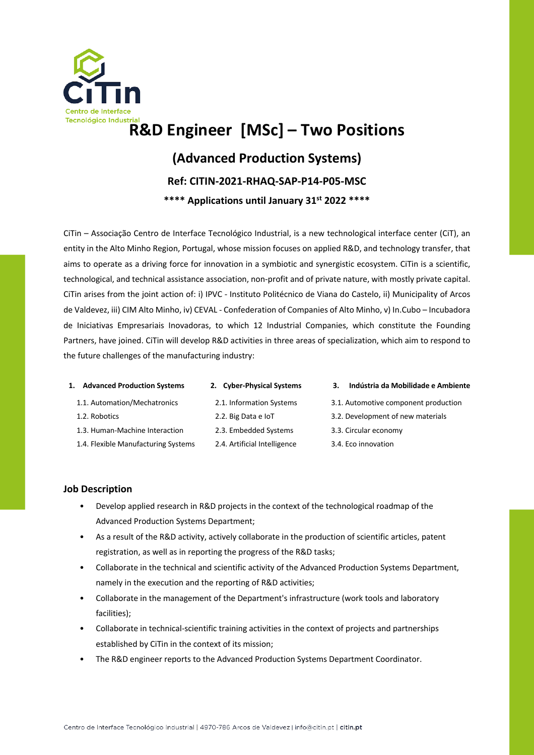

## **R&D Engineer [MSc] – Two Positions**

### **(Advanced Production Systems)**

### **Ref: CITIN-2021-RHAQ-SAP-P14-P05-MSC**

### **\*\*\*\* Applications until January 31st 2022 \*\*\*\***

CiTin – Associação Centro de Interface Tecnológico Industrial, is a new technological interface center (CiT), an entity in the Alto Minho Region, Portugal, whose mission focuses on applied R&D, and technology transfer, that aims to operate as a driving force for innovation in a symbiotic and synergistic ecosystem. CiTin is a scientific, technological, and technical assistance association, non-profit and of private nature, with mostly private capital. CiTin arises from the joint action of: i) IPVC - Instituto Politécnico de Viana do Castelo, ii) Municipality of Arcos de Valdevez, iii) CIM Alto Minho, iv) CEVAL - Confederation of Companies of Alto Minho, v) In.Cubo – Incubadora de Iniciativas Empresariais Inovadoras, to which 12 Industrial Companies, which constitute the Founding Partners, have joined. CiTin will develop R&D activities in three areas of specialization, which aim to respond to the future challenges of the manufacturing industry:

# 1.1. Automation/Mechatronics

1.3. Human-Machine Interaction 1.4. Flexible Manufacturing Systems

# 2.1. Information Systems

2.2. Big Data e IoT 2.3. Embedded Systems 2.4. Artificial Intelligence

#### **1. Advanced Production Systems 2. Cyber-Physical Systems 3. Indústria da Mobilidade e Ambiente**

- 3.1. Automotive component production
- 3.2. Development of new materials
- 3.3. Circular economy
- 3.4. Eco innovation

### **Job Description**

1.2. Robotics

- Develop applied research in R&D projects in the context of the technological roadmap of the Advanced Production Systems Department;
- As a result of the R&D activity, actively collaborate in the production of scientific articles, patent registration, as well as in reporting the progress of the R&D tasks;
- Collaborate in the technical and scientific activity of the Advanced Production Systems Department, namely in the execution and the reporting of R&D activities;
- Collaborate in the management of the Department's infrastructure (work tools and laboratory facilities);
- Collaborate in technical-scientific training activities in the context of projects and partnerships established by CiTin in the context of its mission;
- The R&D engineer reports to the Advanced Production Systems Department Coordinator.